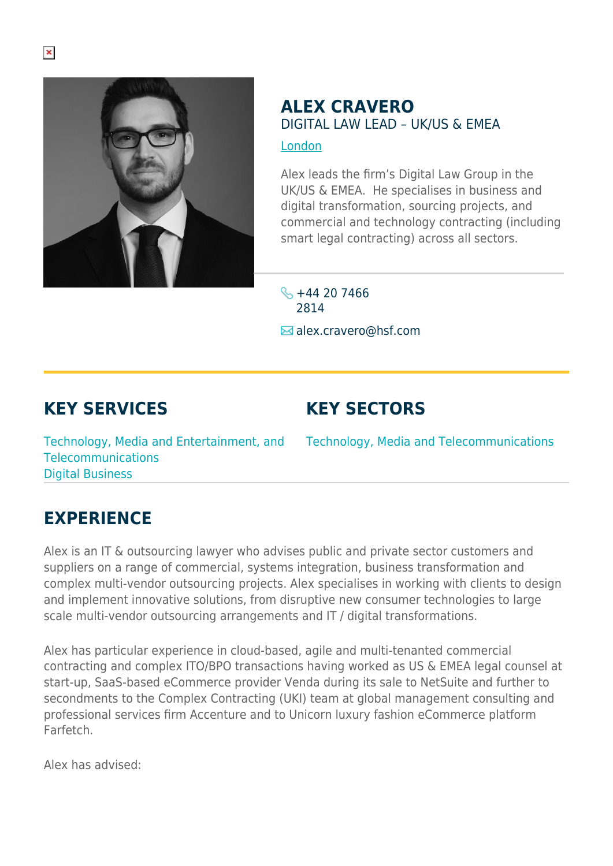

## **ALEX CRAVERO** DIGITAL LAW LEAD – UK/US & EMEA [London](https://www.herbertsmithfreehills.com/lang-zh-hans/where-we-work/london)

Alex leads the firm's Digital Law Group in the UK/US & EMEA. He specialises in business and digital transformation, sourcing projects, and commercial and technology contracting (including smart legal contracting) across all sectors.

 $\frac{1}{2}$  +44 20 7466 2814  $\blacksquare$  alex.cravero@hsf.com

## **KEY SERVICES**

## **KEY SECTORS**

Technology, Media and Entertainment, and Technology, Media and Telecommunications Telecommunications Digital Business

## **EXPERIENCE**

Alex is an IT & outsourcing lawyer who advises public and private sector customers and suppliers on a range of commercial, systems integration, business transformation and complex multi-vendor outsourcing projects. Alex specialises in working with clients to design and implement innovative solutions, from disruptive new consumer technologies to large scale multi-vendor outsourcing arrangements and IT / digital transformations.

Alex has particular experience in cloud-based, agile and multi-tenanted commercial contracting and complex ITO/BPO transactions having worked as US & EMEA legal counsel at start-up, SaaS-based eCommerce provider Venda during its sale to NetSuite and further to secondments to the Complex Contracting (UKI) team at global management consulting and professional services firm Accenture and to Unicorn luxury fashion eCommerce platform **Farfetch** 

Alex has advised: